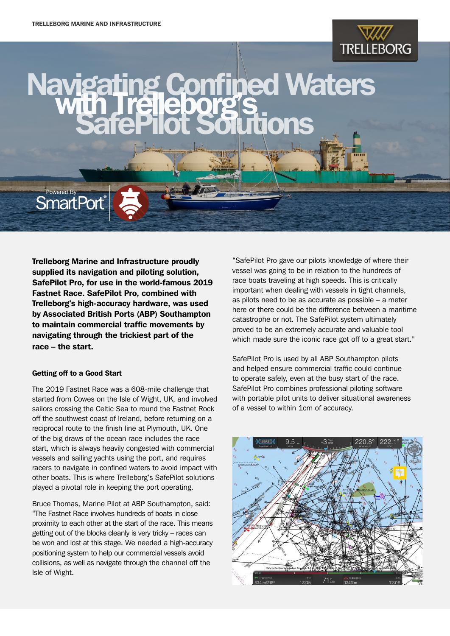

# ed Waters with Trelleborg's<br>SafePilot Solutions

Trelleborg Marine and Infrastructure proudly supplied its navigation and piloting solution, SafePilot Pro, for use in the world-famous 2019 Fastnet Race. SafePilot Pro, combined with Trelleborg's high-accuracy hardware, was used by Associated British Ports (ABP) Southampton to maintain commercial traffic movements by navigating through the trickiest part of the race – the start.

#### Getting off to a Good Start

Powered By **SmartPort** 

The 2019 Fastnet Race was a 608-mile challenge that started from Cowes on the Isle of Wight, UK, and involved sailors crossing the Celtic Sea to round the Fastnet Rock off the southwest coast of Ireland, before returning on a reciprocal route to the finish line at Plymouth, UK. One of the big draws of the ocean race includes the race start, which is always heavily congested with commercial vessels and sailing yachts using the port, and requires racers to navigate in confined waters to avoid impact with other boats. This is where Trelleborg's SafePilot solutions played a pivotal role in keeping the port operating.

Bruce Thomas, Marine Pilot at ABP Southampton, said: "The Fastnet Race involves hundreds of boats in close proximity to each other at the start of the race. This means getting out of the blocks cleanly is very tricky – races can be won and lost at this stage. We needed a high-accuracy positioning system to help our commercial vessels avoid collisions, as well as navigate through the channel off the Isle of Wight.

"SafePilot Pro gave our pilots knowledge of where their vessel was going to be in relation to the hundreds of race boats traveling at high speeds. This is critically important when dealing with vessels in tight channels, as pilots need to be as accurate as possible – a meter here or there could be the difference between a maritime catastrophe or not. The SafePilot system ultimately proved to be an extremely accurate and valuable tool which made sure the iconic race got off to a great start."

SafePilot Pro is used by all ABP Southampton pilots and helped ensure commercial traffic could continue to operate safely, even at the busy start of the race. SafePilot Pro combines professional piloting software with portable pilot units to deliver situational awareness of a vessel to within 1cm of accuracy.